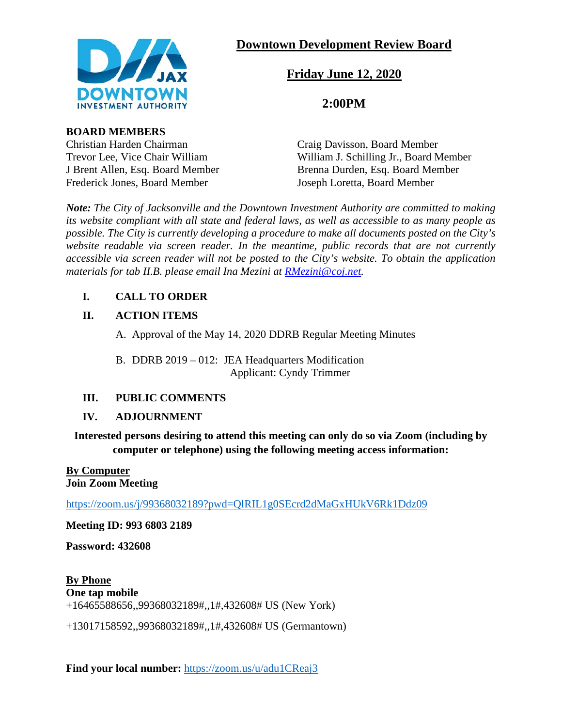

## **Downtown Development Review Board**

# **Friday June 12, 2020**

## **2:00PM**

**BOARD MEMBERS**

Christian Harden Chairman Craig Davisson, Board Member Frederick Jones, Board Member Joseph Loretta, Board Member

Trevor Lee, Vice Chair William William J. Schilling Jr., Board Member J Brent Allen, Esq. Board Member Brenna Durden, Esq. Board Member

*Note: The City of Jacksonville and the Downtown Investment Authority are committed to making its website compliant with all state and federal laws, as well as accessible to as many people as possible. The City is currently developing a procedure to make all documents posted on the City's website readable via screen reader. In the meantime, public records that are not currently accessible via screen reader will not be posted to the City's website. To obtain the application materials for tab II.B. please email Ina Mezini at [RMezini@coj.net.](mailto:RMezini@coj.net)*

## **I. CALL TO ORDER**

## **II. ACTION ITEMS**

A. Approval of the May 14, 2020 DDRB Regular Meeting Minutes

B. DDRB 2019 – 012: JEA Headquarters Modification Applicant: Cyndy Trimmer

## **III. PUBLIC COMMENTS**

## **IV. ADJOURNMENT**

**Interested persons desiring to attend this meeting can only do so via Zoom (including by computer or telephone) using the following meeting access information:**

#### **By Computer Join Zoom Meeting**

<https://zoom.us/j/99368032189?pwd=QlRIL1g0SEcrd2dMaGxHUkV6Rk1Ddz09>

**Meeting ID: 993 6803 2189**

**Password: 432608**

**By Phone One tap mobile** +16465588656,,99368032189#,,1#,432608# US (New York)

+13017158592,,99368032189#,,1#,432608# US (Germantown)

**Find your local number:** <https://zoom.us/u/adu1CReaj3>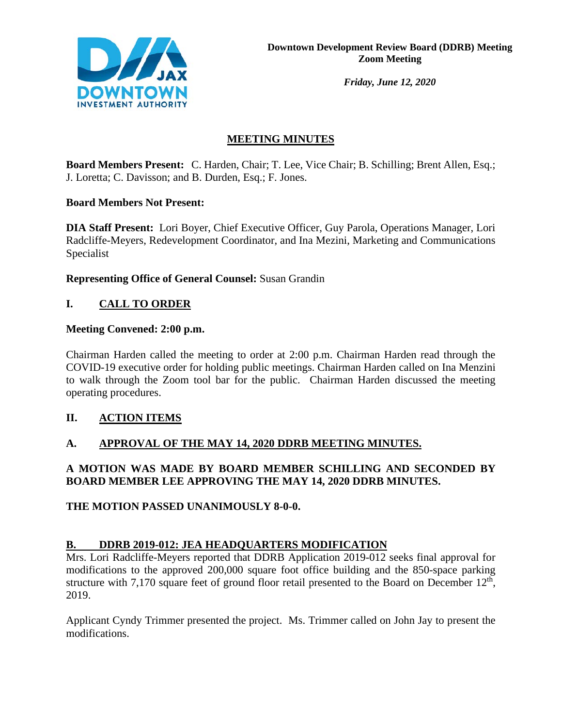

*Friday, June 12, 2020*

## **MEETING MINUTES**

**Board Members Present:** C. Harden, Chair; T. Lee, Vice Chair; B. Schilling; Brent Allen, Esq.; J. Loretta; C. Davisson; and B. Durden, Esq.; F. Jones.

#### **Board Members Not Present:**

**DIA Staff Present:** Lori Boyer, Chief Executive Officer, Guy Parola, Operations Manager, Lori Radcliffe-Meyers, Redevelopment Coordinator, and Ina Mezini, Marketing and Communications Specialist

#### **Representing Office of General Counsel:** Susan Grandin

### **I. CALL TO ORDER**

#### **Meeting Convened: 2:00 p.m.**

Chairman Harden called the meeting to order at 2:00 p.m. Chairman Harden read through the COVID-19 executive order for holding public meetings. Chairman Harden called on Ina Menzini to walk through the Zoom tool bar for the public. Chairman Harden discussed the meeting operating procedures.

#### **II. ACTION ITEMS**

#### **A. APPROVAL OF THE MAY 14, 2020 DDRB MEETING MINUTES.**

#### **A MOTION WAS MADE BY BOARD MEMBER SCHILLING AND SECONDED BY BOARD MEMBER LEE APPROVING THE MAY 14, 2020 DDRB MINUTES.**

#### **THE MOTION PASSED UNANIMOUSLY 8-0-0.**

#### **B. DDRB 2019-012: JEA HEADQUARTERS MODIFICATION**

Mrs. Lori Radcliffe-Meyers reported that DDRB Application 2019-012 seeks final approval for modifications to the approved 200,000 square foot office building and the 850-space parking structure with 7,170 square feet of ground floor retail presented to the Board on December  $12<sup>th</sup>$ , 2019.

Applicant Cyndy Trimmer presented the project. Ms. Trimmer called on John Jay to present the modifications.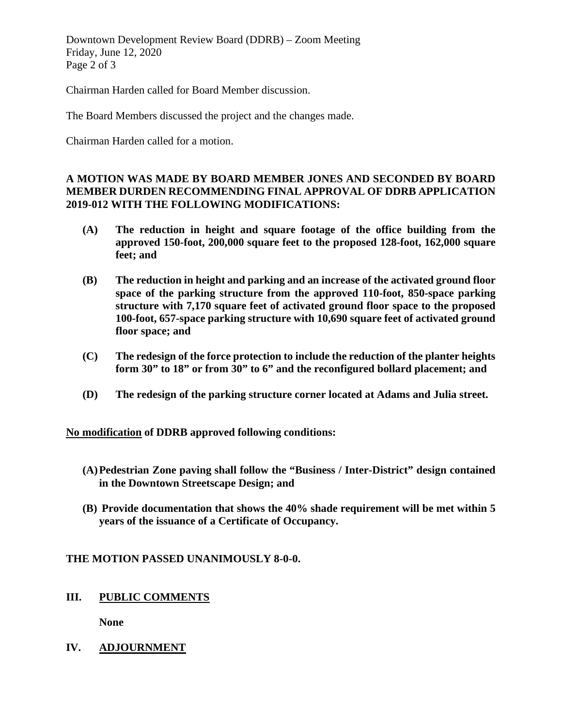Downtown Development Review Board (DDRB) – Zoom Meeting Friday, June 12, 2020 Page 2 of 3

Chairman Harden called for Board Member discussion.

The Board Members discussed the project and the changes made.

Chairman Harden called for a motion.

#### **A MOTION WAS MADE BY BOARD MEMBER JONES AND SECONDED BY BOARD MEMBER DURDEN RECOMMENDING FINAL APPROVAL OF DDRB APPLICATION 2019-012 WITH THE FOLLOWING MODIFICATIONS:**

- **(A) The reduction in height and square footage of the office building from the approved 150-foot, 200,000 square feet to the proposed 128-foot, 162,000 square feet; and**
- **(B) The reduction in height and parking and an increase of the activated ground floor space of the parking structure from the approved 110-foot, 850-space parking structure with 7,170 square feet of activated ground floor space to the proposed 100-foot, 657-space parking structure with 10,690 square feet of activated ground floor space; and**
- **(C) The redesign of the force protection to include the reduction of the planter heights form 30" to 18" or from 30" to 6" and the reconfigured bollard placement; and**
- **(D) The redesign of the parking structure corner located at Adams and Julia street.**

**No modification of DDRB approved following conditions:**

- **(A)Pedestrian Zone paving shall follow the "Business / Inter-District" design contained in the Downtown Streetscape Design; and**
- **(B) Provide documentation that shows the 40% shade requirement will be met within 5 years of the issuance of a Certificate of Occupancy.**

#### **THE MOTION PASSED UNANIMOUSLY 8-0-0.**

**III. PUBLIC COMMENTS**

**None**

**IV. ADJOURNMENT**